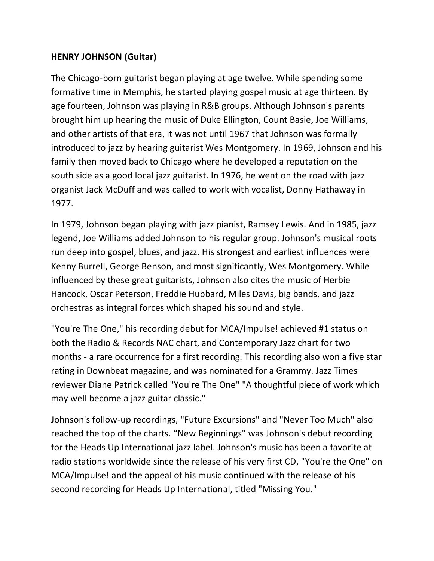## **HENRY JOHNSON (Guitar)**

The Chicago-born guitarist began playing at age twelve. While spending some formative time in Memphis, he started playing gospel music at age thirteen. By age fourteen, Johnson was playing in R&B groups. Although Johnson's parents brought him up hearing the music of Duke Ellington, Count Basie, Joe Williams, and other artists of that era, it was not until 1967 that Johnson was formally introduced to jazz by hearing guitarist Wes Montgomery. In 1969, Johnson and his family then moved back to Chicago where he developed a reputation on the south side as a good local jazz guitarist. In 1976, he went on the road with jazz organist Jack McDuff and was called to work with vocalist, Donny Hathaway in 1977.

In 1979, Johnson began playing with jazz pianist, Ramsey Lewis. And in 1985, jazz legend, Joe Williams added Johnson to his regular group. Johnson's musical roots run deep into gospel, blues, and jazz. His strongest and earliest influences were Kenny Burrell, George Benson, and most significantly, Wes Montgomery. While influenced by these great guitarists, Johnson also cites the music of Herbie Hancock, Oscar Peterson, Freddie Hubbard, Miles Davis, big bands, and jazz orchestras as integral forces which shaped his sound and style.

"You're The One," his recording debut for MCA/Impulse! achieved #1 status on both the Radio & Records NAC chart, and Contemporary Jazz chart for two months - a rare occurrence for a first recording. This recording also won a five star rating in Downbeat magazine, and was nominated for a Grammy. Jazz Times reviewer Diane Patrick called "You're The One" "A thoughtful piece of work which may well become a jazz guitar classic."

Johnson's follow-up recordings, "Future Excursions" and "Never Too Much" also reached the top of the charts. "New Beginnings" was Johnson's debut recording for the Heads Up International jazz label. Johnson's music has been a favorite at radio stations worldwide since the release of his very first CD, "You're the One" on MCA/Impulse! and the appeal of his music continued with the release of his second recording for Heads Up International, titled "Missing You."